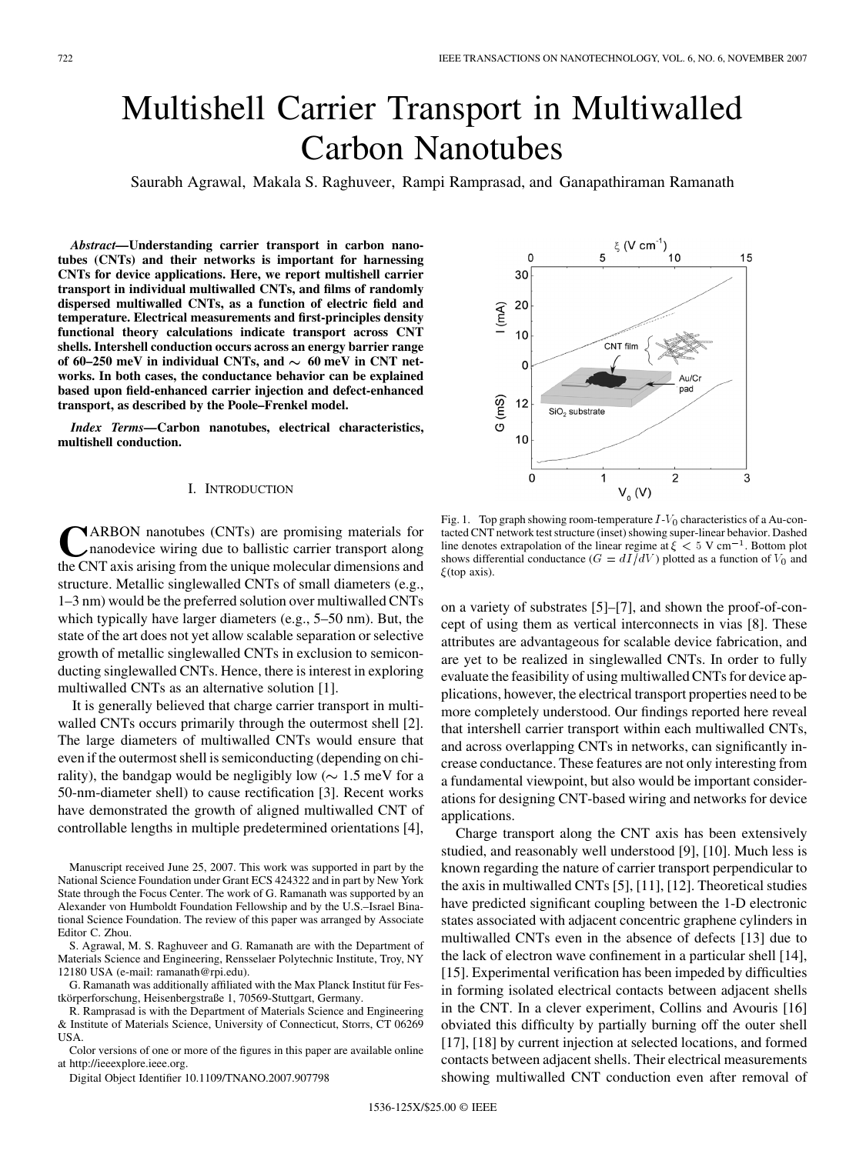# Multishell Carrier Transport in Multiwalled Carbon Nanotubes

Saurabh Agrawal, Makala S. Raghuveer, Rampi Ramprasad, and Ganapathiraman Ramanath

*Abstract—***Understanding carrier transport in carbon nanotubes (CNTs) and their networks is important for harnessing CNTs for device applications. Here, we report multishell carrier transport in individual multiwalled CNTs, and films of randomly dispersed multiwalled CNTs, as a function of electric field and temperature. Electrical measurements and first-principles density functional theory calculations indicate transport across CNT shells. Intershell conduction occurs across an energy barrier range** of 60–250 meV in individual CNTs, and  $\sim 60$  meV in CNT net**works. In both cases, the conductance behavior can be explained based upon field-enhanced carrier injection and defect-enhanced transport, as described by the Poole–Frenkel model.**

*Index Terms—***Carbon nanotubes, electrical characteristics, multishell conduction.**

# I. INTRODUCTION

**TARBON** nanotubes (CNTs) are promising materials for nanodevice wiring due to ballistic carrier transport along the CNT axis arising from the unique molecular dimensions and structure. Metallic singlewalled CNTs of small diameters (e.g., 1–3 nm) would be the preferred solution over multiwalled CNTs which typically have larger diameters (e.g., 5–50 nm). But, the state of the art does not yet allow scalable separation or selective growth of metallic singlewalled CNTs in exclusion to semiconducting singlewalled CNTs. Hence, there is interest in exploring multiwalled CNTs as an alternative solution [1].

It is generally believed that charge carrier transport in multiwalled CNTs occurs primarily through the outermost shell [2]. The large diameters of multiwalled CNTs would ensure that even if the outermost shell is semiconducting (depending on chirality), the bandgap would be negligibly low ( $\sim 1.5$  meV for a 50-nm-diameter shell) to cause rectification [3]. Recent works have demonstrated the growth of aligned multiwalled CNT of controllable lengths in multiple predetermined orientations [4],

Manuscript received June 25, 2007. This work was supported in part by the National Science Foundation under Grant ECS 424322 and in part by New York State through the Focus Center. The work of G. Ramanath was supported by an Alexander von Humboldt Foundation Fellowship and by the U.S.–Israel Binational Science Foundation. The review of this paper was arranged by Associate Editor C. Zhou.

S. Agrawal, M. S. Raghuveer and G. Ramanath are with the Department of Materials Science and Engineering, Rensselaer Polytechnic Institute, Troy, NY 12180 USA (e-mail: ramanath@rpi.edu).

G. Ramanath was additionally affiliated with the Max Planck Institut für Festkörperforschung, Heisenbergstraße 1, 70569-Stuttgart, Germany.

R. Ramprasad is with the Department of Materials Science and Engineering & Institute of Materials Science, University of Connecticut, Storrs, CT 06269 USA.

Color versions of one or more of the figures in this paper are available online at http://ieeexplore.ieee.org.

Digital Object Identifier 10.1109/TNANO.2007.907798

Fig. 1. Top graph showing room-temperature  $I-V_0$  characteristics of a Au-contacted CNT network test structure (inset) showing super-linear behavior. Dashed line denotes extrapolation of the linear regime at  $\xi < 5$  V cm<sup>-1</sup>. Bottom plot shows differential conductance ( $G = dI/dV$ ) plotted as a function of  $V_0$  and  $\xi$ (top axis).

on a variety of substrates [5]–[7], and shown the proof-of-concept of using them as vertical interconnects in vias [8]. These attributes are advantageous for scalable device fabrication, and are yet to be realized in singlewalled CNTs. In order to fully evaluate the feasibility of using multiwalled CNTs for device applications, however, the electrical transport properties need to be more completely understood. Our findings reported here reveal that intershell carrier transport within each multiwalled CNTs, and across overlapping CNTs in networks, can significantly increase conductance. These features are not only interesting from a fundamental viewpoint, but also would be important considerations for designing CNT-based wiring and networks for device applications.

Charge transport along the CNT axis has been extensively studied, and reasonably well understood [9], [10]. Much less is known regarding the nature of carrier transport perpendicular to the axis in multiwalled CNTs [5], [11], [12]. Theoretical studies have predicted significant coupling between the 1-D electronic states associated with adjacent concentric graphene cylinders in multiwalled CNTs even in the absence of defects [13] due to the lack of electron wave confinement in a particular shell [14], [15]. Experimental verification has been impeded by difficulties in forming isolated electrical contacts between adjacent shells in the CNT. In a clever experiment, Collins and Avouris [16] obviated this difficulty by partially burning off the outer shell [17], [18] by current injection at selected locations, and formed contacts between adjacent shells. Their electrical measurements showing multiwalled CNT conduction even after removal of

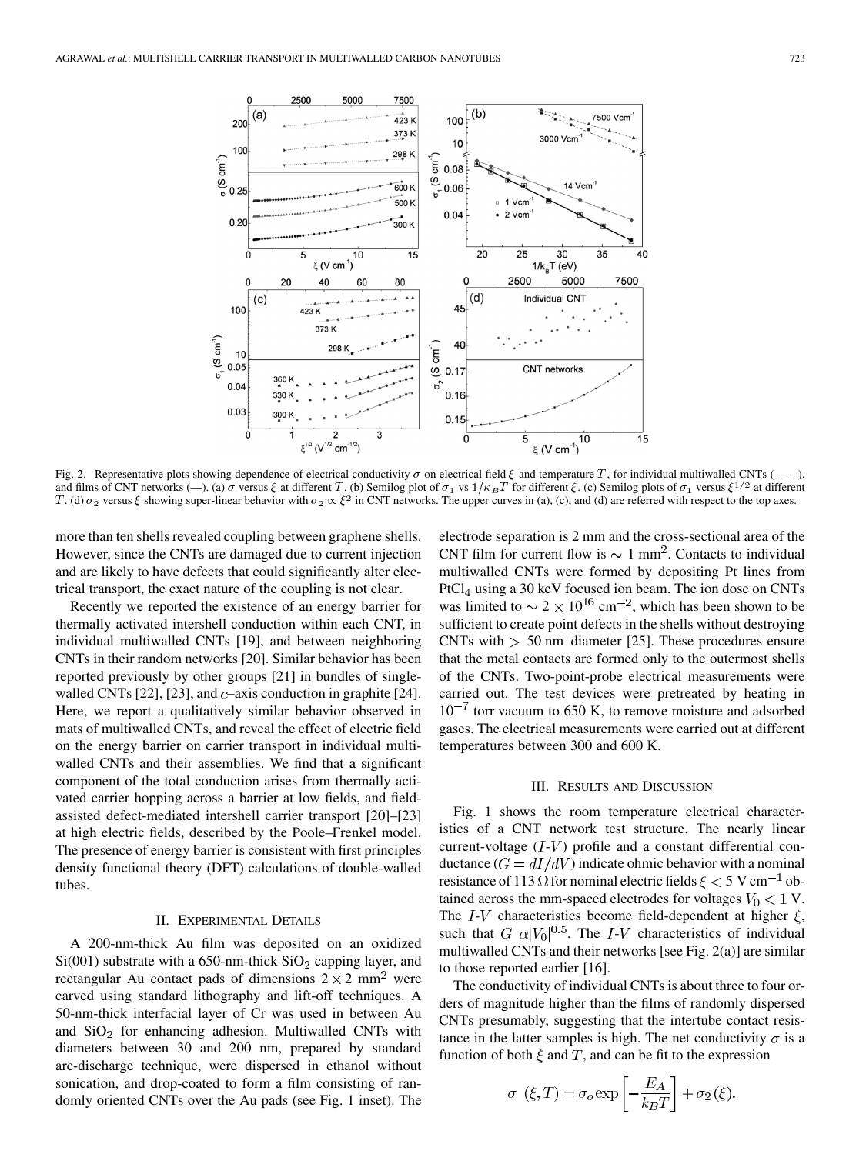

Fig. 2. Representative plots showing dependence of electrical conductivity  $\sigma$  on electrical field  $\xi$  and temperature T, for individual multiwalled CNTs (-––), and films of CNT networks (-). (a)  $\sigma$  versus  $\xi$  at different T. (b) Semilog plot of  $\sigma_1$  vs  $1/\kappa_B T$  for different  $\xi$ . (c) Semilog plots of  $\sigma_1$  versus  $\xi^{1/2}$  at different T. (d)  $\sigma_2$  versus  $\xi$  showing super-linear behavior with  $\sigma_2 \propto \xi^2$  in CNT networks. The upper curves in (a), (c), and (d) are referred with respect to the top axes.

more than ten shells revealed coupling between graphene shells. However, since the CNTs are damaged due to current injection and are likely to have defects that could significantly alter electrical transport, the exact nature of the coupling is not clear.

Recently we reported the existence of an energy barrier for thermally activated intershell conduction within each CNT, in individual multiwalled CNTs [19], and between neighboring CNTs in their random networks [20]. Similar behavior has been reported previously by other groups [21] in bundles of singlewalled CNTs [22], [23], and  $c$ -axis conduction in graphite [24]. Here, we report a qualitatively similar behavior observed in mats of multiwalled CNTs, and reveal the effect of electric field on the energy barrier on carrier transport in individual multiwalled CNTs and their assemblies. We find that a significant component of the total conduction arises from thermally activated carrier hopping across a barrier at low fields, and fieldassisted defect-mediated intershell carrier transport [20]–[23] at high electric fields, described by the Poole–Frenkel model. The presence of energy barrier is consistent with first principles density functional theory (DFT) calculations of double-walled tubes.

# II. EXPERIMENTAL DETAILS

A 200-nm-thick Au film was deposited on an oxidized  $Si(001)$  substrate with a 650-nm-thick  $SiO<sub>2</sub>$  capping layer, and rectangular Au contact pads of dimensions  $2 \times 2$  mm<sup>2</sup> were carved using standard lithography and lift-off techniques. A 50-nm-thick interfacial layer of Cr was used in between Au and  $SiO<sub>2</sub>$  for enhancing adhesion. Multiwalled CNTs with diameters between 30 and 200 nm, prepared by standard arc-discharge technique, were dispersed in ethanol without sonication, and drop-coated to form a film consisting of randomly oriented CNTs over the Au pads (see Fig. 1 inset). The electrode separation is 2 mm and the cross-sectional area of the CNT film for current flow is  $\sim 1$  mm<sup>2</sup>. Contacts to individual multiwalled CNTs were formed by depositing Pt lines from  $PtCl<sub>4</sub>$  using a 30 keV focused ion beam. The ion dose on CNTs was limited to  $\sim 2 \times 10^{16}$  cm<sup>-2</sup>, which has been shown to be sufficient to create point defects in the shells without destroying CNTs with  $> 50$  nm diameter [25]. These procedures ensure that the metal contacts are formed only to the outermost shells of the CNTs. Two-point-probe electrical measurements were carried out. The test devices were pretreated by heating in  $10^{-7}$  torr vacuum to 650 K, to remove moisture and adsorbed gases. The electrical measurements were carried out at different temperatures between 300 and 600 K.

## III. RESULTS AND DISCUSSION

Fig. 1 shows the room temperature electrical characteristics of a CNT network test structure. The nearly linear current-voltage  $(I-V)$  profile and a constant differential conductance  $(G = dI/dV)$  indicate ohmic behavior with a nominal resistance of 113  $\Omega$  for nominal electric fields  $\xi < 5$  V cm<sup>-1</sup> obtained across the mm-spaced electrodes for voltages  $V_0 < 1$  V. The I-V characteristics become field-dependent at higher  $\xi$ , such that G  $\alpha |V_0|^{0.5}$ . The I-V characteristics of individual multiwalled CNTs and their networks [see Fig. 2(a)] are similar to those reported earlier [16].

The conductivity of individual CNTs is about three to four orders of magnitude higher than the films of randomly dispersed CNTs presumably, suggesting that the intertube contact resistance in the latter samples is high. The net conductivity  $\sigma$  is a function of both  $\xi$  and  $T$ , and can be fit to the expression

$$
\sigma\left(\xi,T\right) = \sigma_o \exp\left[-\frac{E_A}{k_B T}\right] + \sigma_2\left(\xi\right).
$$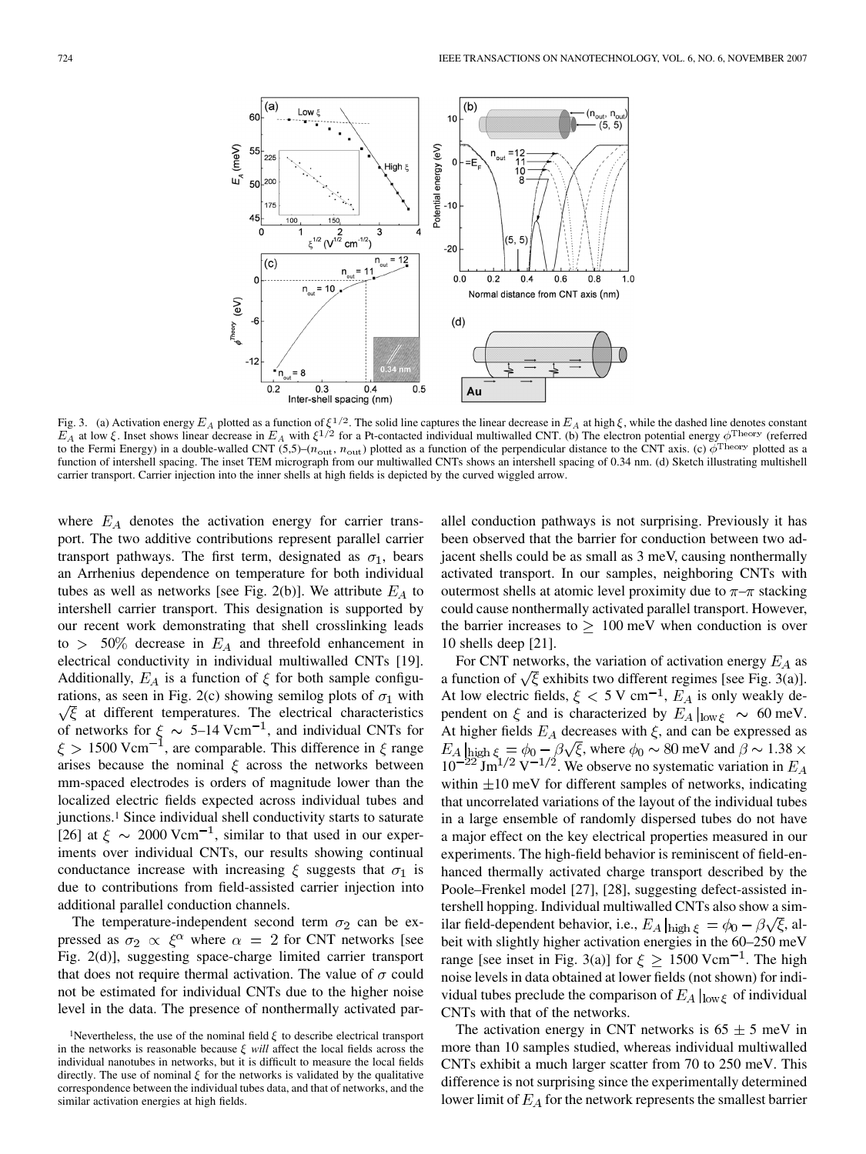

Fig. 3. (a) Activation energy  $E_A$  plotted as a function of  $\xi^{1/2}$ . The solid line captures the linear decrease in  $E_A$  at high  $\xi$ , while the dashed line denotes constant  $E_A$  at low  $\xi$ . Inset shows linear decrease in  $E_A$  with  $\xi^{1/2}$  for a Pt-contacted individual multiwalled CNT. (b) The electron potential energy  $\phi^{\text{Theory}}$  (referred to the Fermi Energy) in a double-walled CNT (5,5)–( $n_{\text{out}}$ ,  $n_{\text{out}}$ ) plotted as a function of the perpendicular distance to the CNT axis. (c)  $\phi^{\text{Theory}}$  plotted as a function of intershell spacing. The inset TEM micrograph from our multiwalled CNTs shows an intershell spacing of 0.34 nm. (d) Sketch illustrating multishell carrier transport. Carrier injection into the inner shells at high fields is depicted by the curved wiggled arrow.

where  $E_A$  denotes the activation energy for carrier transport. The two additive contributions represent parallel carrier transport pathways. The first term, designated as  $\sigma_1$ , bears an Arrhenius dependence on temperature for both individual tubes as well as networks [see Fig. 2(b)]. We attribute  $E_A$  to intershell carrier transport. This designation is supported by our recent work demonstrating that shell crosslinking leads to  $> 50\%$  decrease in  $E_A$  and threefold enhancement in electrical conductivity in individual multiwalled CNTs [19]. Additionally,  $E_A$  is a function of  $\xi$  for both sample configurations, as seen in Fig. 2(c) showing semilog plots of  $\sigma_1$  with  $\sqrt{\xi}$  at different temperatures. The electrical characteristics of networks for  $\xi \sim 5{\text -}14 \,\text{Vcm}^{-1}$ , and individual CNTs for 1500 Vcm<sup>-1</sup>, are comparable. This difference in  $\zeta$  range arises because the nominal  $\xi$  across the networks between mm-spaced electrodes is orders of magnitude lower than the localized electric fields expected across individual tubes and junctions.1 Since individual shell conductivity starts to saturate [26] at  $\xi \sim 2000 \text{ Vcm}^{-1}$ , similar to that used in our experiments over individual CNTs, our results showing continual conductance increase with increasing  $\xi$  suggests that  $\sigma_1$  is due to contributions from field-assisted carrier injection into additional parallel conduction channels.

The temperature-independent second term  $\sigma_2$  can be expressed as  $\sigma_2 \propto \xi^{\alpha}$  where  $\alpha = 2$  for CNT networks [see Fig. 2(d)], suggesting space-charge limited carrier transport that does not require thermal activation. The value of  $\sigma$  could not be estimated for individual CNTs due to the higher noise level in the data. The presence of nonthermally activated par-

allel conduction pathways is not surprising. Previously it has been observed that the barrier for conduction between two adjacent shells could be as small as 3 meV, causing nonthermally activated transport. In our samples, neighboring CNTs with outermost shells at atomic level proximity due to  $\pi-\pi$  stacking could cause nonthermally activated parallel transport. However, the barrier increases to  $\geq 100$  meV when conduction is over 10 shells deep [21].

For CNT networks, the variation of activation energy  $E_A$  as a function of  $\sqrt{\xi}$  exhibits two different regimes [see Fig. 3(a)]. At low electric fields,  $\xi < 5$  V cm<sup>-1</sup>,  $E_A$  is only weakly dependent on  $\xi$  and is characterized by  $E_A|_{\text{low}\xi} \sim 60 \text{ meV}$ . At higher fields  $E_A$  decreases with  $\xi$ , and can be expressed as , where  $\phi_0 \sim 80$  meV and  $\beta \sim 1.38$  $10^{-22}$  Jm<sup>1/2</sup> V<sup>-1/2</sup>. We observe no systematic variation in within  $\pm 10$  meV for different samples of networks, indicating that uncorrelated variations of the layout of the individual tubes in a large ensemble of randomly dispersed tubes do not have a major effect on the key electrical properties measured in our experiments. The high-field behavior is reminiscent of field-enhanced thermally activated charge transport described by the Poole–Frenkel model [27], [28], suggesting defect-assisted intershell hopping. Individual multiwalled CNTs also show a similar field-dependent behavior, i.e.,  $E_A|_{\text{high }\xi} = \phi_0 - \beta \sqrt{\xi}$ , albeit with slightly higher activation energies in the 60–250 meV range [see inset in Fig. 3(a)] for  $\xi \ge 1500$  Vcm<sup>-1</sup>. The high noise levels in data obtained at lower fields (not shown) for individual tubes preclude the comparison of  $E_A|_{\text{low }\varepsilon}$  of individual CNTs with that of the networks.

The activation energy in CNT networks is  $65 \pm 5$  meV in more than 10 samples studied, whereas individual multiwalled CNTs exhibit a much larger scatter from 70 to 250 meV. This difference is not surprising since the experimentally determined lower limit of  $E_A$  for the network represents the smallest barrier

<sup>&</sup>lt;sup>1</sup>Nevertheless, the use of the nominal field  $\xi$  to describe electrical transport in the networks is reasonable because  $\xi$  will affect the local fields across the individual nanotubes in networks, but it is difficult to measure the local fields directly. The use of nominal  $\xi$  for the networks is validated by the qualitative correspondence between the individual tubes data, and that of networks, and the similar activation energies at high fields.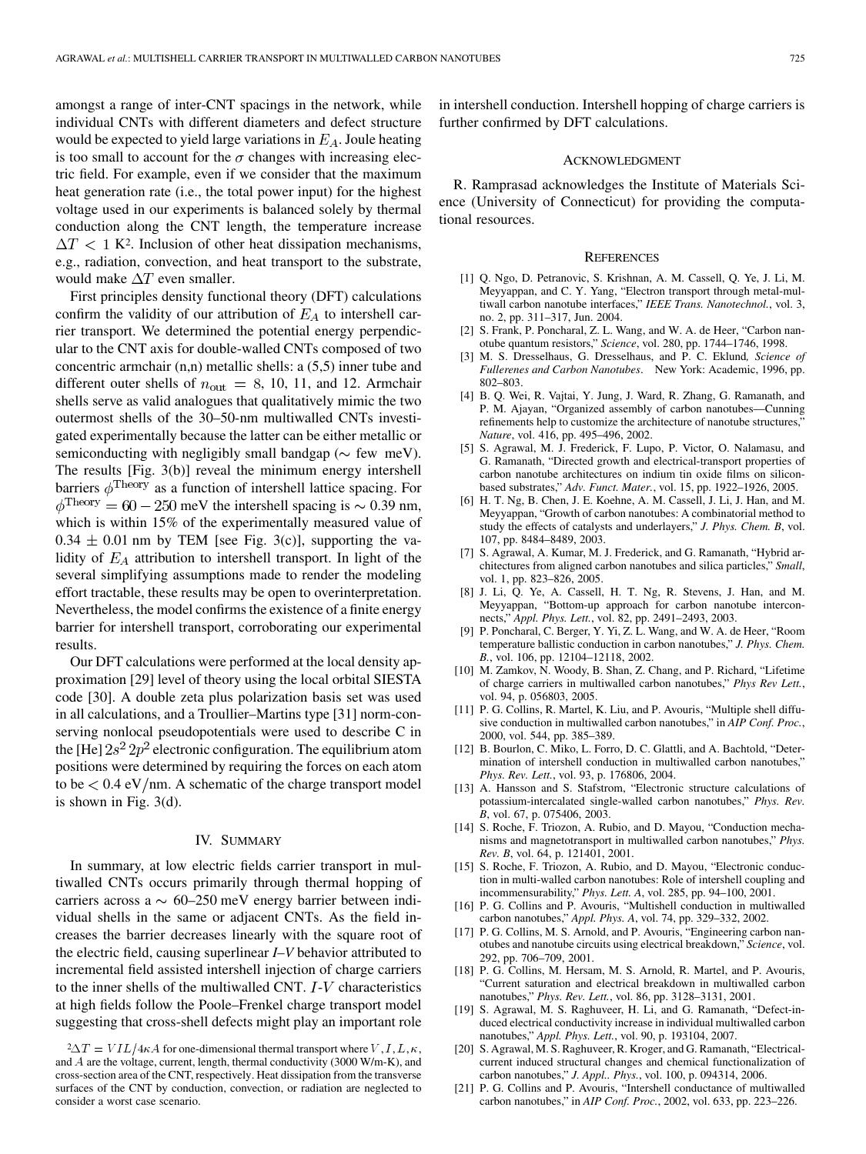amongst a range of inter-CNT spacings in the network, while individual CNTs with different diameters and defect structure would be expected to yield large variations in  $E<sub>A</sub>$ . Joule heating is too small to account for the  $\sigma$  changes with increasing electric field. For example, even if we consider that the maximum heat generation rate (i.e., the total power input) for the highest voltage used in our experiments is balanced solely by thermal conduction along the CNT length, the temperature increase  $\Delta T$  < 1 K<sup>2</sup>. Inclusion of other heat dissipation mechanisms, e.g., radiation, convection, and heat transport to the substrate, would make  $\Delta T$  even smaller.

First principles density functional theory (DFT) calculations confirm the validity of our attribution of  $E_A$  to intershell carrier transport. We determined the potential energy perpendicular to the CNT axis for double-walled CNTs composed of two concentric armchair (n,n) metallic shells: a (5,5) inner tube and different outer shells of  $n_{\text{out}} = 8$ , 10, 11, and 12. Armchair shells serve as valid analogues that qualitatively mimic the two outermost shells of the 30–50-nm multiwalled CNTs investigated experimentally because the latter can be either metallic or semiconducting with negligibly small bandgap ( $\sim$  few meV). The results [Fig. 3(b)] reveal the minimum energy intershell barriers  $\phi^{\rm Theory}$  as a function of intershell lattice spacing. For  $\phi^{\text{Theory}} = 60 - 250 \text{ meV}$  the intershell spacing is  $\sim 0.39 \text{ nm}$ , which is within 15% of the experimentally measured value of  $0.34 \pm 0.01$  nm by TEM [see Fig. 3(c)], supporting the validity of  $E_A$  attribution to intershell transport. In light of the several simplifying assumptions made to render the modeling effort tractable, these results may be open to overinterpretation. Nevertheless, the model confirms the existence of a finite energy barrier for intershell transport, corroborating our experimental results.

Our DFT calculations were performed at the local density approximation [29] level of theory using the local orbital SIESTA code [30]. A double zeta plus polarization basis set was used in all calculations, and a Troullier–Martins type [31] norm-conserving nonlocal pseudopotentials were used to describe C in the [He]  $2s^2 2p^2$  electronic configuration. The equilibrium atom positions were determined by requiring the forces on each atom to be  $< 0.4$  eV/nm. A schematic of the charge transport model is shown in Fig. 3(d).

#### IV. SUMMARY

In summary, at low electric fields carrier transport in multiwalled CNTs occurs primarily through thermal hopping of carriers across a  $\sim 60-250$  meV energy barrier between individual shells in the same or adjacent CNTs. As the field increases the barrier decreases linearly with the square root of the electric field, causing superlinear *I*–*V* behavior attributed to incremental field assisted intershell injection of charge carriers to the inner shells of the multiwalled CNT.  $I-V$  characteristics at high fields follow the Poole–Frenkel charge transport model suggesting that cross-shell defects might play an important role

in intershell conduction. Intershell hopping of charge carriers is further confirmed by DFT calculations.

## ACKNOWLEDGMENT

R. Ramprasad acknowledges the Institute of Materials Science (University of Connecticut) for providing the computational resources.

#### **REFERENCES**

- [1] Q. Ngo, D. Petranovic, S. Krishnan, A. M. Cassell, Q. Ye, J. Li, M. Meyyappan, and C. Y. Yang, "Electron transport through metal-multiwall carbon nanotube interfaces," *IEEE Trans. Nanotechnol.*, vol. 3, no. 2, pp. 311–317, Jun. 2004.
- [2] S. Frank, P. Poncharal, Z. L. Wang, and W. A. de Heer, "Carbon nanotube quantum resistors," *Science*, vol. 280, pp. 1744–1746, 1998.
- [3] M. S. Dresselhaus, G. Dresselhaus, and P. C. Eklund*, Science of Fullerenes and Carbon Nanotubes*. New York: Academic, 1996, pp. 802–803.
- [4] B. Q. Wei, R. Vajtai, Y. Jung, J. Ward, R. Zhang, G. Ramanath, and P. M. Ajayan, "Organized assembly of carbon nanotubes—Cunning refinements help to customize the architecture of nanotube structures, *Nature*, vol. 416, pp. 495–496, 2002.
- [5] S. Agrawal, M. J. Frederick, F. Lupo, P. Victor, O. Nalamasu, and G. Ramanath, "Directed growth and electrical-transport properties of carbon nanotube architectures on indium tin oxide films on siliconbased substrates," *Adv. Funct. Mater.*, vol. 15, pp. 1922–1926, 2005.
- [6] H. T. Ng, B. Chen, J. E. Koehne, A. M. Cassell, J. Li, J. Han, and M. Meyyappan, "Growth of carbon nanotubes: A combinatorial method to study the effects of catalysts and underlayers," *J. Phys. Chem. B*, vol. 107, pp. 8484–8489, 2003.
- [7] S. Agrawal, A. Kumar, M. J. Frederick, and G. Ramanath, "Hybrid architectures from aligned carbon nanotubes and silica particles," *Small*, vol. 1, pp. 823–826, 2005.
- [8] J. Li, Q. Ye, A. Cassell, H. T. Ng, R. Stevens, J. Han, and M. Meyyappan, "Bottom-up approach for carbon nanotube interconnects," *Appl. Phys. Lett.*, vol. 82, pp. 2491–2493, 2003.
- [9] P. Poncharal, C. Berger, Y. Yi, Z. L. Wang, and W. A. de Heer, "Room temperature ballistic conduction in carbon nanotubes," *J. Phys. Chem. B.*, vol. 106, pp. 12104–12118, 2002.
- [10] M. Zamkov, N. Woody, B. Shan, Z. Chang, and P. Richard, "Lifetime of charge carriers in multiwalled carbon nanotubes," *Phys Rev Lett.*, vol. 94, p. 056803, 2005.
- [11] P. G. Collins, R. Martel, K. Liu, and P. Avouris, "Multiple shell diffusive conduction in multiwalled carbon nanotubes," in *AIP Conf. Proc.*, 2000, vol. 544, pp. 385–389.
- [12] B. Bourlon, C. Miko, L. Forro, D. C. Glattli, and A. Bachtold, "Determination of intershell conduction in multiwalled carbon nanotubes," *Phys. Rev. Lett.*, vol. 93, p. 176806, 2004.
- [13] A. Hansson and S. Stafstrom, "Electronic structure calculations of potassium-intercalated single-walled carbon nanotubes," *Phys. Rev. B*, vol. 67, p. 075406, 2003.
- [14] S. Roche, F. Triozon, A. Rubio, and D. Mayou, "Conduction mechanisms and magnetotransport in multiwalled carbon nanotubes," *Phys. Rev. B*, vol. 64, p. 121401, 2001.
- [15] S. Roche, F. Triozon, A. Rubio, and D. Mayou, "Electronic conduction in multi-walled carbon nanotubes: Role of intershell coupling and incommensurability," *Phys. Lett. A*, vol. 285, pp. 94–100, 2001.
- [16] P. G. Collins and P. Avouris, "Multishell conduction in multiwalled carbon nanotubes," *Appl. Phys. A*, vol. 74, pp. 329–332, 2002.
- [17] P. G. Collins, M. S. Arnold, and P. Avouris, "Engineering carbon nanotubes and nanotube circuits using electrical breakdown," *Science*, vol. 292, pp. 706–709, 2001.
- [18] P. G. Collins, M. Hersam, M. S. Arnold, R. Martel, and P. Avouris, "Current saturation and electrical breakdown in multiwalled carbon nanotubes," *Phys. Rev. Lett.*, vol. 86, pp. 3128–3131, 2001.
- [19] S. Agrawal, M. S. Raghuveer, H. Li, and G. Ramanath, "Defect-induced electrical conductivity increase in individual multiwalled carbon nanotubes," *Appl. Phys. Lett.*, vol. 90, p. 193104, 2007.
- [20] S. Agrawal, M. S. Raghuveer, R. Kroger, and G. Ramanath, "Electricalcurrent induced structural changes and chemical functionalization of carbon nanotubes," *J. Appl.. Phys.*, vol. 100, p. 094314, 2006.
- [21] P. G. Collins and P. Avouris, "Intershell conductance of multiwalled carbon nanotubes," in *AIP Conf. Proc.*, 2002, vol. 633, pp. 223–226.

 ${}^{2}\Delta T = VIL/4\kappa A$  for one-dimensional thermal transport where V, I, L,  $\kappa$ , and A are the voltage, current, length, thermal conductivity (3000 W/m-K), and cross-section area of the CNT, respectively. Heat dissipation from the transverse surfaces of the CNT by conduction, convection, or radiation are neglected to consider a worst case scenario.